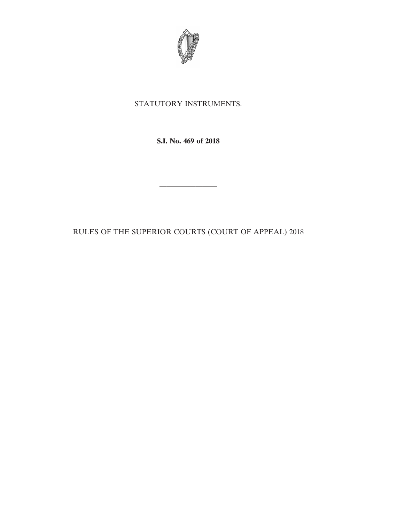

# STATUTORY INSTRUMENTS.

**S.I. No. 469 of 2018**

RULES OF THE SUPERIOR COURTS (COURT OF APPEAL) 2018

————————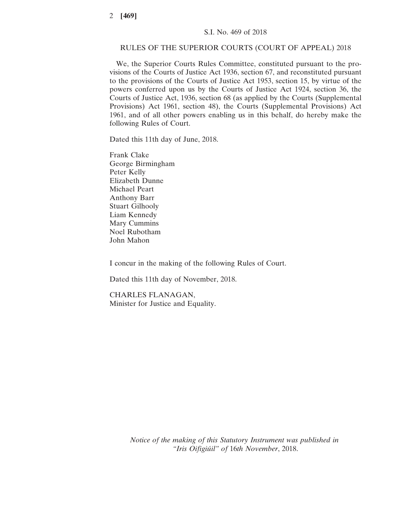## RULES OF THE SUPERIOR COURTS (COURT OF APPEAL) 2018

We, the Superior Courts Rules Committee, constituted pursuant to the provisions of the Courts of Justice Act 1936, section 67, and reconstituted pursuant to the provisions of the Courts of Justice Act 1953, section 15, by virtue of the powers conferred upon us by the Courts of Justice Act 1924, section 36, the Courts of Justice Act, 1936, section 68 (as applied by the Courts (Supplemental Provisions) Act 1961, section 48), the Courts (Supplemental Provisions) Act 1961, and of all other powers enabling us in this behalf, do hereby make the following Rules of Court.

Dated this 11th day of June, 2018.

Frank Clake George Birmingham Peter Kelly Elizabeth Dunne Michael Peart Anthony Barr Stuart Gilhooly Liam Kennedy Mary Cummins Noel Rubotham John Mahon

I concur in the making of the following Rules of Court.

Dated this 11th day of November, 2018.

CHARLES FLANAGAN, Minister for Justice and Equality.

> *Notice of the making of this Statutory Instrument was published in "Iris Oifigiúil" of* 16*th November*, 2018.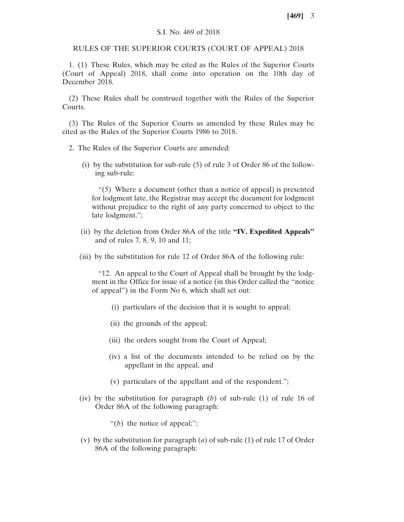### S.I. No. 469 of 2018

RULES OF THE SUPERIOR COURTS (COURT OF APPEAL) 2018

1. (1) These Rules, which may be cited as the Rules of the Superior Courts (Court of Appeal) 2018, shall come into operation on the 10th day of December 2018.

(2) These Rules shall be construed together with the Rules of the Superior Courts.

(3) The Rules of the Superior Courts as amended by these Rules may be cited as the Rules of the Superior Courts 1986 to 2018.

- 2. The Rules of the Superior Courts are amended:
	- (i) by the substitution for sub-rule (5) of rule 3 of Order 86 of the following sub-rule:

"(5) Where a document (other than a notice of appeal) is presented for lodgment late, the Registrar may accept the document for lodgment without prejudice to the right of any party concerned to object to the late lodgment.";

- (ii) by the deletion from Order 86A of the title **"IV. Expedited Appeals"** and of rules 7, 8, 9, 10 and 11;
- (iii) by the substitution for rule 12 of Order 86A of the following rule:

"12. An appeal to the Court of Appeal shall be brought by the lodgment in the Office for issue of a notice (in this Order called the "notice of appeal") in the Form No 6, which shall set out:

- (i) particulars of the decision that it is sought to appeal;
- (ii) the grounds of the appeal;
- (iii) the orders sought from the Court of Appeal;
- (iv) a list of the documents intended to be relied on by the appellant in the appeal, and
- (v) particulars of the appellant and of the respondent.";
- (iv) by the substitution for paragraph (*b*) of sub-rule (1) of rule 16 of Order 86A of the following paragraph:
	- "(*b*) the notice of appeal;";
- (v) by the substitution for paragraph (*a*) of sub-rule (1) of rule 17 of Order 86A of the following paragraph: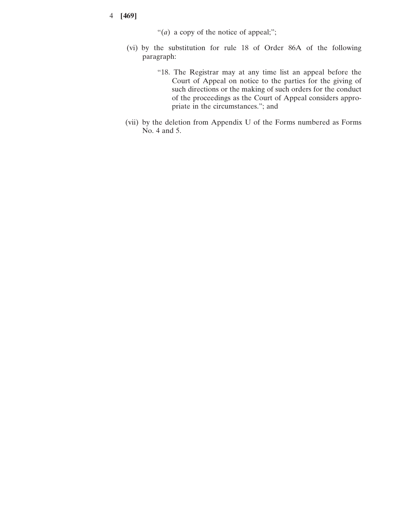## 4 **[469]**

"(*a*) a copy of the notice of appeal;";

- (vi) by the substitution for rule 18 of Order 86A of the following paragraph:
	- "18. The Registrar may at any time list an appeal before the Court of Appeal on notice to the parties for the giving of such directions or the making of such orders for the conduct of the proceedings as the Court of Appeal considers appropriate in the circumstances."; and
- (vii) by the deletion from Appendix U of the Forms numbered as Forms No. 4 and 5.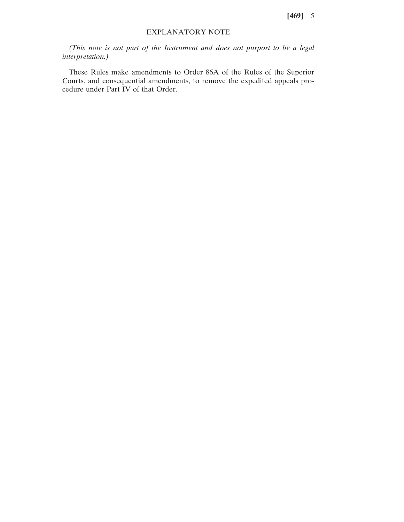**[469]** 5

## EXPLANATORY NOTE

*(This note is not part of the Instrument and does not purport to be a legal interpretation.)*

These Rules make amendments to Order 86A of the Rules of the Superior Courts, and consequential amendments, to remove the expedited appeals procedure under Part IV of that Order.